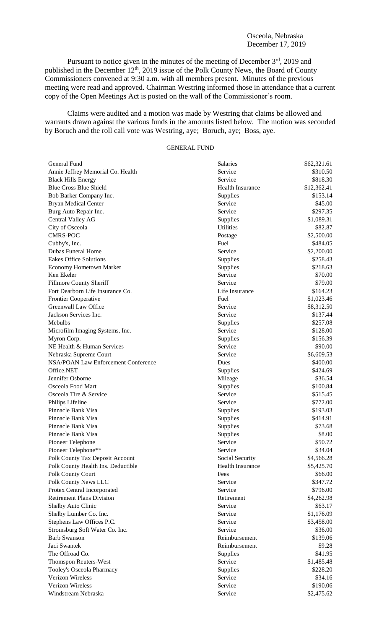Pursuant to notice given in the minutes of the meeting of December 3<sup>rd</sup>, 2019 and published in the December  $12<sup>th</sup>$ , 2019 issue of the Polk County News, the Board of County Commissioners convened at 9:30 a.m. with all members present. Minutes of the previous meeting were read and approved. Chairman Westring informed those in attendance that a current copy of the Open Meetings Act is posted on the wall of the Commissioner's room.

Claims were audited and a motion was made by Westring that claims be allowed and warrants drawn against the various funds in the amounts listed below. The motion was seconded by Boruch and the roll call vote was Westring, aye; Boruch, aye; Boss, aye.

## GENERAL FUND

| General Fund                           | Salaries                | \$62,321.61 |
|----------------------------------------|-------------------------|-------------|
| Annie Jeffrey Memorial Co. Health      | Service                 | \$310.50    |
| <b>Black Hills Energy</b>              | Service                 | \$818.30    |
| <b>Blue Cross Blue Shield</b>          | Health Insurance        | \$12,362.41 |
| Bob Barker Company Inc.                | Supplies                | \$153.14    |
| <b>Bryan Medical Center</b>            | Service                 | \$45.00     |
| Burg Auto Repair Inc.                  | Service                 | \$297.35    |
| Central Valley AG                      | Supplies                | \$1,089.31  |
| City of Osceola                        | Utilities               | \$82.87     |
| <b>CMRS-POC</b>                        | Postage                 | \$2,500.00  |
| Cubby's, Inc.                          | Fuel                    | \$484.05    |
| <b>Dubas Funeral Home</b>              | Service                 | \$2,200.00  |
| <b>Eakes Office Solutions</b>          | Supplies                | \$258.43    |
| <b>Economy Hometown Market</b>         | Supplies                | \$218.63    |
| Ken Ekeler                             | Service                 | \$70.00     |
| <b>Fillmore County Sheriff</b>         | Service                 | \$79.00     |
| Fort Dearborn Life Insurance Co.       | Life Insurance          | \$164.23    |
| <b>Frontier Cooperative</b>            | Fuel                    | \$1,023.46  |
| Greenwall Law Office                   | Service                 | \$8,312.50  |
| Jackson Services Inc.                  | Service                 | \$137.44    |
| Mebulbs                                | Supplies                | \$257.08    |
| Microfilm Imaging Systems, Inc.        | Service                 | \$128.00    |
| Myron Corp.                            | Supplies                | \$156.39    |
| NE Health & Human Services             | Service                 | \$90.00     |
| Nebraska Supreme Court                 | Service                 | \$6,609.53  |
| NSA/POAN Law Enforcement Conference    | Dues                    | \$400.00    |
| Office.NET                             | Supplies                | \$424.69    |
| Jennifer Osborne                       | Mileage                 | \$36.54     |
| Osceola Food Mart                      | Supplies                | \$100.84    |
| Osceola Tire & Service                 | Service                 | \$515.45    |
|                                        | Service                 | \$772.00    |
| Philips Lifeline<br>Pinnacle Bank Visa |                         | \$193.03    |
| Pinnacle Bank Visa                     | Supplies                |             |
|                                        | Supplies                | \$414.91    |
| Pinnacle Bank Visa                     | Supplies                | \$73.68     |
| Pinnacle Bank Visa                     | Supplies                | \$8.00      |
| Pioneer Telephone                      | Service                 | \$50.72     |
| Pioneer Telephone**                    | Service                 | \$34.04     |
| Polk County Tax Deposit Account        | Social Security         | \$4,566.28  |
| Polk County Health Ins. Deductible     | <b>Health Insurance</b> | \$5,425.70  |
| Polk County Court                      | Fees                    | \$66.00     |
| Polk County News LLC                   | Service                 | \$347.72    |
| Protex Central Incorporated            | Service                 | \$796.00    |
| <b>Retirement Plans Division</b>       | Retirement              | \$4,262.98  |
| Shelby Auto Clinic                     | Service                 | \$63.17     |
| Shelby Lumber Co. Inc.                 | Service                 | \$1,176.09  |
| Stephens Law Offices P.C.              | Service                 | \$3,458.00  |
| Stromsburg Soft Water Co. Inc.         | Service                 | \$36.00     |
| <b>Barb Swanson</b>                    | Reimbursement           | \$139.06    |
| Jaci Swantek                           | Reimbursement           | \$9.28      |
| The Offroad Co.                        | Supplies                | \$41.95     |
| Thomspon Reuters-West                  | Service                 | \$1,485.48  |
| Tooley's Osceola Pharmacy              | Supplies                | \$228.20    |
| <b>Verizon Wireless</b>                | Service                 | \$34.16     |
| Verizon Wireless                       | Service                 | \$190.06    |
| Windstream Nebraska                    | Service                 | \$2,475.62  |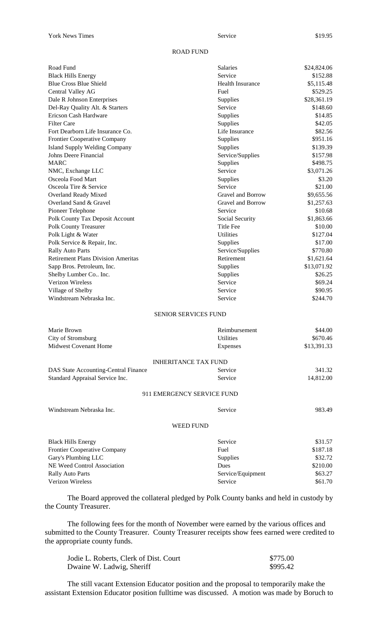York News Times Service Service Service Service Structures Service Structures Service Structures Service Structures Structures Structures Structures Structures Structures Structures Structures Structures Structures Structu

## ROAD FUND

| Road Fund                                          | Salaries                    | \$24,824.06 |
|----------------------------------------------------|-----------------------------|-------------|
| <b>Black Hills Energy</b>                          | Service                     | \$152.88    |
| <b>Blue Cross Blue Shield</b>                      | <b>Health Insurance</b>     | \$5,115.48  |
| Central Valley AG                                  | Fuel                        | \$529.25    |
| Dale R Johnson Enterprises                         | Supplies                    | \$28,361.19 |
| Del-Ray Quality Alt. & Starters                    | Service                     | \$148.60    |
| Ericson Cash Hardware                              | Supplies                    | \$14.85     |
| <b>Filter Care</b>                                 | Supplies                    | \$42.05     |
| Fort Dearborn Life Insurance Co.                   | Life Insurance              | \$82.56     |
| <b>Frontier Cooperative Company</b>                | Supplies                    | \$951.16    |
| <b>Island Supply Welding Company</b>               | Supplies                    | \$139.39    |
| Johns Deere Financial                              | Service/Supplies            | \$157.98    |
| <b>MARC</b>                                        | Supplies                    | \$498.75    |
| NMC, Exchange LLC                                  | Service                     | \$3,071.26  |
| Osceola Food Mart                                  | Supplies                    | \$3.20      |
| Osceola Tire & Service                             | Service                     |             |
|                                                    |                             | \$21.00     |
| Overland Ready Mixed                               | Gravel and Borrow           | \$9,655.56  |
| Overland Sand & Gravel                             | Gravel and Borrow           | \$1,257.63  |
| Pioneer Telephone                                  | Service                     | \$10.68     |
| Polk County Tax Deposit Account                    | Social Security             | \$1,863.66  |
| <b>Polk County Treasurer</b>                       | <b>Title Fee</b>            | \$10.00     |
| Polk Light & Water                                 | <b>Utilities</b>            | \$127.04    |
| Polk Service & Repair, Inc.                        | Supplies                    | \$17.00     |
| <b>Rally Auto Parts</b>                            | Service/Supplies            | \$770.80    |
| <b>Retirement Plans Division Ameritas</b>          | Retirement                  | \$1,621.64  |
| Sapp Bros. Petroleum, Inc.                         | Supplies                    | \$13,071.92 |
| Shelby Lumber Co Inc.                              | Supplies                    | \$26.25     |
| Verizon Wireless                                   | Service                     | \$69.24     |
| Village of Shelby                                  | Service                     | \$90.95     |
| Windstream Nebraska Inc.                           | Service                     | \$244.70    |
|                                                    | <b>SENIOR SERVICES FUND</b> |             |
| Marie Brown                                        | Reimbursement               | \$44.00     |
| City of Stromsburg                                 | Utilities                   | \$670.46    |
| <b>Midwest Covenant Home</b>                       | Expenses                    | \$13,391.33 |
|                                                    |                             |             |
|                                                    | <b>INHERITANCE TAX FUND</b> |             |
| DAS State Accounting-Central Finance               | Service                     | 341.32      |
| Standard Appraisal Service Inc.                    | Service                     | 14,812.00   |
|                                                    | 911 EMERGENCY SERVICE FUND  |             |
| Windstream Nebraska Inc.                           | Service                     | 983.49      |
|                                                    | <b>WEED FUND</b>            |             |
| <b>Black Hills Energy</b>                          | Service                     | \$31.57     |
| Frontier Cooperative Company                       | Fuel                        | \$187.18    |
|                                                    |                             | \$32.72     |
| Gary's Plumbing LLC<br>NE Weed Control Association | Supplies                    |             |
|                                                    | Dues                        | \$210.00    |
| Rally Auto Parts                                   | Service/Equipment           | \$63.27     |
| Verizon Wireless                                   | Service                     | \$61.70     |

The Board approved the collateral pledged by Polk County banks and held in custody by the County Treasurer.

The following fees for the month of November were earned by the various offices and submitted to the County Treasurer. County Treasurer receipts show fees earned were credited to the appropriate county funds.

| Jodie L. Roberts, Clerk of Dist. Court | \$775.00 |
|----------------------------------------|----------|
| Dwaine W. Ladwig, Sheriff              | \$995.42 |

The still vacant Extension Educator position and the proposal to temporarily make the assistant Extension Educator position fulltime was discussed. A motion was made by Boruch to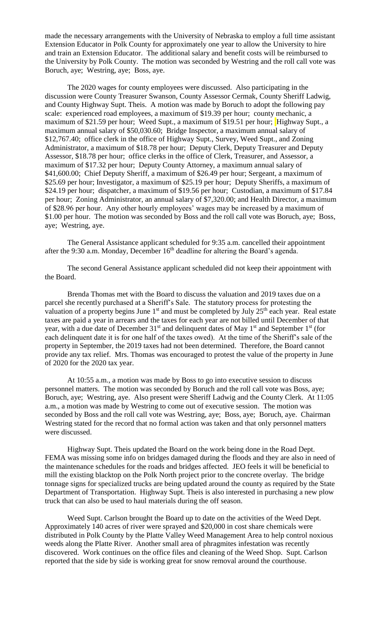made the necessary arrangements with the University of Nebraska to employ a full time assistant Extension Educator in Polk County for approximately one year to allow the University to hire and train an Extension Educator. The additional salary and benefit costs will be reimbursed to the University by Polk County. The motion was seconded by Westring and the roll call vote was Boruch, aye; Westring, aye; Boss, aye.

The 2020 wages for county employees were discussed. Also participating in the discussion were County Treasurer Swanson, County Assessor Cermak, County Sheriff Ladwig, and County Highway Supt. Theis. A motion was made by Boruch to adopt the following pay scale: experienced road employees, a maximum of \$19.39 per hour; county mechanic, a maximum of \$21.59 per hour; Weed Supt., a maximum of \$19.51 per hour; Highway Supt., a maximum annual salary of \$50,030.60; Bridge Inspector, a maximum annual salary of \$12,767.40; office clerk in the office of Highway Supt., Survey, Weed Supt., and Zoning Administrator, a maximum of \$18.78 per hour; Deputy Clerk, Deputy Treasurer and Deputy Assessor, \$18.78 per hour; office clerks in the office of Clerk, Treasurer, and Assessor, a maximum of \$17.32 per hour; Deputy County Attorney, a maximum annual salary of \$41,600.00; Chief Deputy Sheriff, a maximum of \$26.49 per hour; Sergeant, a maximum of \$25.69 per hour; Investigator, a maximum of \$25.19 per hour; Deputy Sheriffs, a maximum of \$24.19 per hour; dispatcher, a maximum of \$19.56 per hour; Custodian, a maximum of \$17.84 per hour; Zoning Administrator, an annual salary of \$7,320.00; and Health Director, a maximum of \$28.96 per hour. Any other hourly employees' wages may be increased by a maximum of \$1.00 per hour. The motion was seconded by Boss and the roll call vote was Boruch, aye; Boss, aye; Westring, aye.

The General Assistance applicant scheduled for 9:35 a.m. cancelled their appointment after the 9:30 a.m. Monday, December  $16<sup>th</sup>$  deadline for altering the Board's agenda.

The second General Assistance applicant scheduled did not keep their appointment with the Board.

Brenda Thomas met with the Board to discuss the valuation and 2019 taxes due on a parcel she recently purchased at a Sheriff's Sale. The statutory process for protesting the valuation of a property begins June 1<sup>st</sup> and must be completed by July 25<sup>th</sup> each year. Real estate taxes are paid a year in arrears and the taxes for each year are not billed until December of that year, with a due date of December 31<sup>st</sup> and delinquent dates of May 1<sup>st</sup> and September 1<sup>st</sup> (for each delinquent date it is for one half of the taxes owed). At the time of the Sheriff's sale of the property in September, the 2019 taxes had not been determined. Therefore, the Board cannot provide any tax relief. Mrs. Thomas was encouraged to protest the value of the property in June of 2020 for the 2020 tax year.

At 10:55 a.m., a motion was made by Boss to go into executive session to discuss personnel matters. The motion was seconded by Boruch and the roll call vote was Boss, aye; Boruch, aye; Westring, aye. Also present were Sheriff Ladwig and the County Clerk. At 11:05 a.m., a motion was made by Westring to come out of executive session. The motion was seconded by Boss and the roll call vote was Westring, aye; Boss, aye; Boruch, aye. Chairman Westring stated for the record that no formal action was taken and that only personnel matters were discussed.

Highway Supt. Theis updated the Board on the work being done in the Road Dept. FEMA was missing some info on bridges damaged during the floods and they are also in need of the maintenance schedules for the roads and bridges affected. JEO feels it will be beneficial to mill the existing blacktop on the Polk North project prior to the concrete overlay. The bridge tonnage signs for specialized trucks are being updated around the county as required by the State Department of Transportation. Highway Supt. Theis is also interested in purchasing a new plow truck that can also be used to haul materials during the off season.

Weed Supt. Carlson brought the Board up to date on the activities of the Weed Dept. Approximately 140 acres of river were sprayed and \$20,000 in cost share chemicals were distributed in Polk County by the Platte Valley Weed Management Area to help control noxious weeds along the Platte River. Another small area of phragmites infestation was recently discovered. Work continues on the office files and cleaning of the Weed Shop. Supt. Carlson reported that the side by side is working great for snow removal around the courthouse.